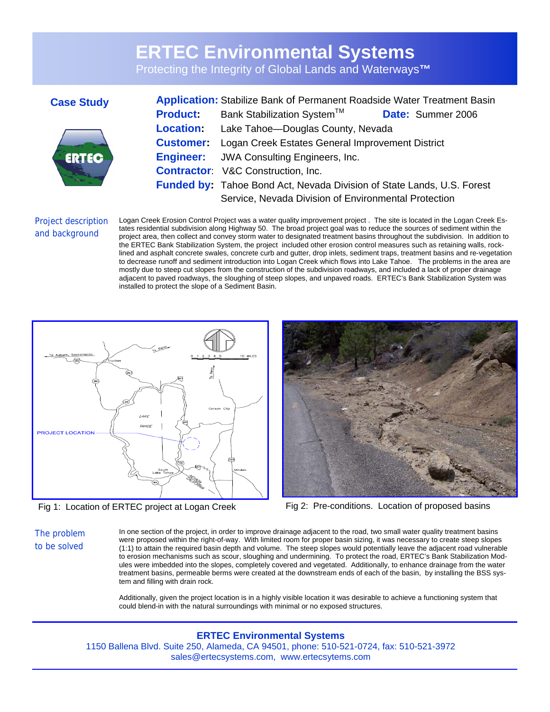# **ERTEC Environmental Systems**

Protecting the Integrity of Global Lands and Waterways**™** 

## **Case Study**



| <b>Application:</b> Stabilize Bank of Permanent Roadside Water Treatment Basin |                                                                               |                   |
|--------------------------------------------------------------------------------|-------------------------------------------------------------------------------|-------------------|
| <b>Product:</b>                                                                | Bank Stabilization System™                                                    | Date: Summer 2006 |
|                                                                                | <b>Location:</b> Lake Tahoe-Douglas County, Nevada                            |                   |
|                                                                                | <b>Customer:</b> Logan Creek Estates General Improvement District             |                   |
|                                                                                | <b>Engineer:</b> JWA Consulting Engineers, Inc.                               |                   |
|                                                                                | <b>Contractor:</b> V&C Construction, Inc.                                     |                   |
|                                                                                | <b>Funded by:</b> Tahoe Bond Act, Nevada Division of State Lands, U.S. Forest |                   |
|                                                                                | Service, Nevada Division of Environmental Protection                          |                   |

### Project description and background

Logan Creek Erosion Control Project was a water quality improvement project . The site is located in the Logan Creek Estates residential subdivision along Highway 50. The broad project goal was to reduce the sources of sediment within the project area, then collect and convey storm water to designated treatment basins throughout the subdivision. In addition to the ERTEC Bank Stabilization System, the project included other erosion control measures such as retaining walls, rocklined and asphalt concrete swales, concrete curb and gutter, drop inlets, sediment traps, treatment basins and re-vegetation to decrease runoff and sediment introduction into Logan Creek which flows into Lake Tahoe. The problems in the area are mostly due to steep cut slopes from the construction of the subdivision roadways, and included a lack of proper drainage adjacent to paved roadways, the sloughing of steep slopes, and unpaved roads. ERTEC's Bank Stabilization System was installed to protect the slope of a Sediment Basin.





Fig 1: Location of ERTEC project at Logan Creek Fig 2: Pre-conditions. Location of proposed basins

The problem to be solved

In one section of the project, in order to improve drainage adjacent to the road, two small water quality treatment basins were proposed within the right-of-way. With limited room for proper basin sizing, it was necessary to create steep slopes (1:1) to attain the required basin depth and volume. The steep slopes would potentially leave the adjacent road vulnerable to erosion mechanisms such as scour, sloughing and undermining. To protect the road, ERTEC's Bank Stabilization Modules were imbedded into the slopes, completely covered and vegetated. Additionally, to enhance drainage from the water treatment basins, permeable berms were created at the downstream ends of each of the basin, by installing the BSS system and filling with drain rock.

Additionally, given the project location is in a highly visible location it was desirable to achieve a functioning system that could blend-in with the natural surroundings with minimal or no exposed structures.

### **ERTEC Environmental Systems**

1150 Ballena Blvd. Suite 250, Alameda, CA 94501, phone: 510-521-0724, fax: 510-521-3972 sales@ertecsystems.com, www.ertecsytems.com